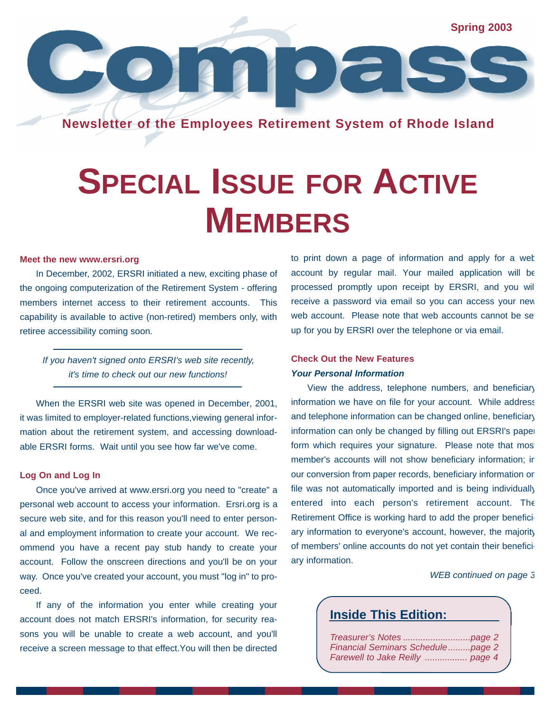**Spring 2003**

**Newsletter of the Employees Retirement System of Rhode Island**

 $\overline{\mathbb{Z}}$ 

## **SPECIAL ISSUE FOR ACTIVE MEMBERS**

#### **Meet the new www.ersri.org**

In December, 2002, ERSRI initiated a new, exciting phase of the ongoing computerization of the Retirement System - offering members internet access to their retirement accounts. This capability is available to active (non-retired) members only, with retiree accessibility coming soon.

 $\bullet$  10

### *If you haven't signed onto ERSRI's web site recently, it's time to check out our new functions!*

When the ERSRI web site was opened in December, 2001, it was limited to employer-related functions,viewing general information about the retirement system, and accessing downloadable ERSRI forms. Wait until you see how far we've come.

### **Log On and Log In**

Once you've arrived at www.ersri.org you need to "create" a personal web account to access your information. Ersri.org is a secure web site, and for this reason you'll need to enter personal and employment information to create your account. We recommend you have a recent pay stub handy to create your account. Follow the onscreen directions and you'll be on your way. Once you've created your account, you must "log in" to proceed.

If any of the information you enter while creating your account does not match ERSRI's information, for security reasons you will be unable to create a web account, and you'll receive a screen message to that effect.You will then be directed to print down a page of information and apply for a web account by regular mail. Your mailed application will be processed promptly upon receipt by ERSRI, and you will receive a password via email so you can access your new web account. Please note that web accounts cannot be set up for you by ERSRI over the telephone or via email.

### **Check Out the New Features** *Your Personal Information*

 $\bullet$   $\sim$   $\sim$ 

View the address, telephone numbers, and beneficiary information we have on file for your account. While address and telephone information can be changed online, beneficiary information can only be changed by filling out ERSRI's paper form which requires your signature. Please note that most member's accounts will not show beneficiary information; in our conversion from paper records, beneficiary information on file was not automatically imported and is being individually entered into each person's retirement account. The Retirement Office is working hard to add the proper beneficiary information to everyone's account, however, the majority of members' online accounts do not yet contain their beneficiary information.

### *WEB continued on page 3*

### **Inside This Edition:**

| Financial Seminars Schedulepage 2 |  |
|-----------------------------------|--|
| Farewell to Jake Reilly  page 4   |  |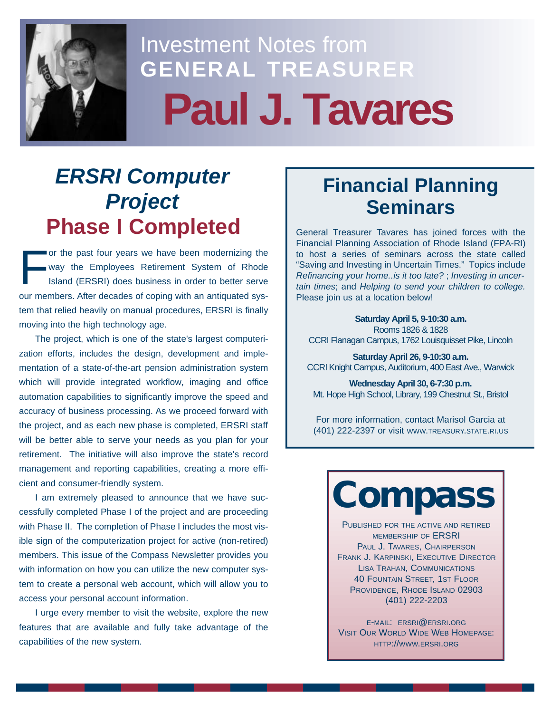

## Investment Notes from **GENERAL TREASURER Paul J. Tavares**

### *ERSRI Computer Project* **Phase I Completed**

F or the past four years we have been modernizing the way the Employees Retirement System of Rhode Island (ERSRI) does business in order to better serve our members. After decades of coping with an antiquated system that relied heavily on manual procedures, ERSRI is finally moving into the high technology age.

The project, which is one of the state's largest computerization efforts, includes the design, development and implementation of a state-of-the-art pension administration system which will provide integrated workflow, imaging and office automation capabilities to significantly improve the speed and accuracy of business processing. As we proceed forward with the project, and as each new phase is completed, ERSRI staff will be better able to serve your needs as you plan for your retirement. The initiative will also improve the state's record management and reporting capabilities, creating a more efficient and consumer-friendly system.

I am extremely pleased to announce that we have successfully completed Phase I of the project and are proceeding with Phase II. The completion of Phase I includes the most visible sign of the computerization project for active (non-retired) members. This issue of the Compass Newsletter provides you with information on how you can utilize the new computer system to create a personal web account, which will allow you to access your personal account information.

I urge every member to visit the website, explore the new features that are available and fully take advantage of the capabilities of the new system.

### **Financial Planning Seminars**

General Treasurer Tavares has joined forces with the Financial Planning Association of Rhode Island (FPA-RI) to host a series of seminars across the state called "Saving and Investing in Uncertain Times." Topics include *Refinancing your home..is it too late?* ; *Investing in uncertain times*; and *Helping to send your children to college.* Please join us at a location below!

**Saturday April 5, 9-10:30 a.m.**  Rooms 1826 & 1828 CCRI Flanagan Campus, 1762 Louisquisset Pike, Lincoln

**Saturday April 26, 9-10:30 a.m.** CCRI Knight Campus, Auditorium, 400 East Ave., Warwick

**Wednesday April 30, 6-7:30 p.m.**  Mt. Hope High School, Library, 199 Chestnut St., Bristol

For more information, contact Marisol Garcia at (401) 222-2397 or visit WWW.TREASURY.STATE.RI.US

# **Compass**

PUBLISHED FOR THE ACTIVE AND RETIRED MEMBERSHIP OF ERSRI PAUL J. TAVARES, CHAIRPERSON FRANK J. KARPINSKI, EXECUTIVE DIRECTOR LISA TRAHAN, COMMUNICATIONS 40 FOUNTAIN STREET, 1ST FLOOR PROVIDENCE, RHODE ISLAND 02903 (401) 222-2203

E-MAIL: ERSRI@ERSRI.ORG VISIT OUR WORLD WIDE WEB HOMEPAGE: HTTP://WWW.ERSRI.ORG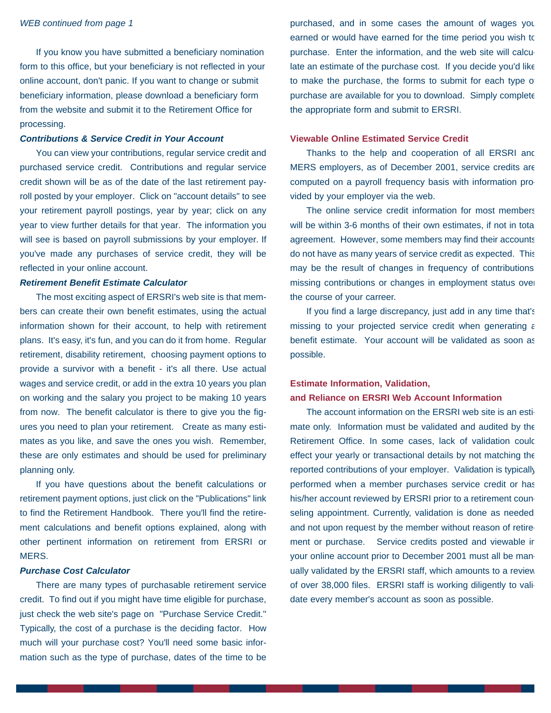### *WEB continued from page 1*

If you know you have submitted a beneficiary nomination form to this office, but your beneficiary is not reflected in your online account, don't panic. If you want to change or submit beneficiary information, please download a beneficiary form from the website and submit it to the Retirement Office for processing.

### *Contributions & Service Credit in Your Account*

You can view your contributions, regular service credit and purchased service credit. Contributions and regular service credit shown will be as of the date of the last retirement payroll posted by your employer. Click on "account details" to see your retirement payroll postings, year by year; click on any year to view further details for that year. The information you will see is based on payroll submissions by your employer. If you've made any purchases of service credit, they will be reflected in your online account.

### *Retirement Benefit Estimate Calculator*

The most exciting aspect of ERSRI's web site is that members can create their own benefit estimates, using the actual information shown for their account, to help with retirement plans. It's easy, it's fun, and you can do it from home. Regular retirement, disability retirement, choosing payment options to provide a survivor with a benefit - it's all there. Use actual wages and service credit, or add in the extra 10 years you plan on working and the salary you project to be making 10 years from now. The benefit calculator is there to give you the figures you need to plan your retirement. Create as many estimates as you like, and save the ones you wish. Remember, these are only estimates and should be used for preliminary planning only.

If you have questions about the benefit calculations or retirement payment options, just click on the "Publications" link to find the Retirement Handbook. There you'll find the retirement calculations and benefit options explained, along with other pertinent information on retirement from ERSRI or MERS.

### *Purchase Cost Calculator*

There are many types of purchasable retirement service credit. To find out if you might have time eligible for purchase, just check the web site's page on "Purchase Service Credit." Typically, the cost of a purchase is the deciding factor. How much will your purchase cost? You'll need some basic information such as the type of purchase, dates of the time to be purchased, and in some cases the amount of wages you earned or would have earned for the time period you wish to purchase. Enter the information, and the web site will calculate an estimate of the purchase cost. If you decide you'd like to make the purchase, the forms to submit for each type of purchase are available for you to download. Simply complete the appropriate form and submit to ERSRI.

### **Viewable Online Estimated Service Credit**

Thanks to the help and cooperation of all ERSRI and MERS employers, as of December 2001, service credits are computed on a payroll frequency basis with information provided by your employer via the web.

The online service credit information for most members will be within 3-6 months of their own estimates, if not in total agreement. However, some members may find their accounts do not have as many years of service credit as expected. This may be the result of changes in frequency of contributions missing contributions or changes in employment status over the course of your carreer.

If you find a large discrepancy, just add in any time that's missing to your projected service credit when generating a benefit estimate. Your account will be validated as soon as possible.

### **Estimate Information, Validation, and Reliance on ERSRI Web Account Information**

The account information on the ERSRI web site is an estimate only. Information must be validated and audited by the Retirement Office. In some cases, lack of validation could effect your yearly or transactional details by not matching the reported contributions of your employer. Validation is typically performed when a member purchases service credit or has his/her account reviewed by ERSRI prior to a retirement counseling appointment. Currently, validation is done as needed and not upon request by the member without reason of retirement or purchase. Service credits posted and viewable ir your online account prior to December 2001 must all be manually validated by the ERSRI staff, which amounts to a review of over 38,000 files. ERSRI staff is working diligently to validate every member's account as soon as possible.